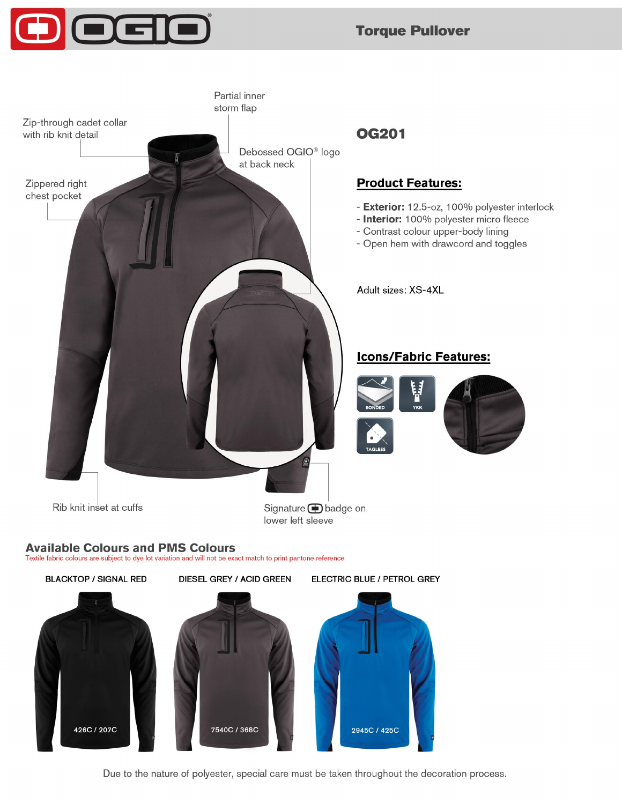## **Torque Pullover**



426C / 207C



Due to the nature of polyester, special care must be taken throughout the decoration process.

2945C / 425C

7540C / 368C